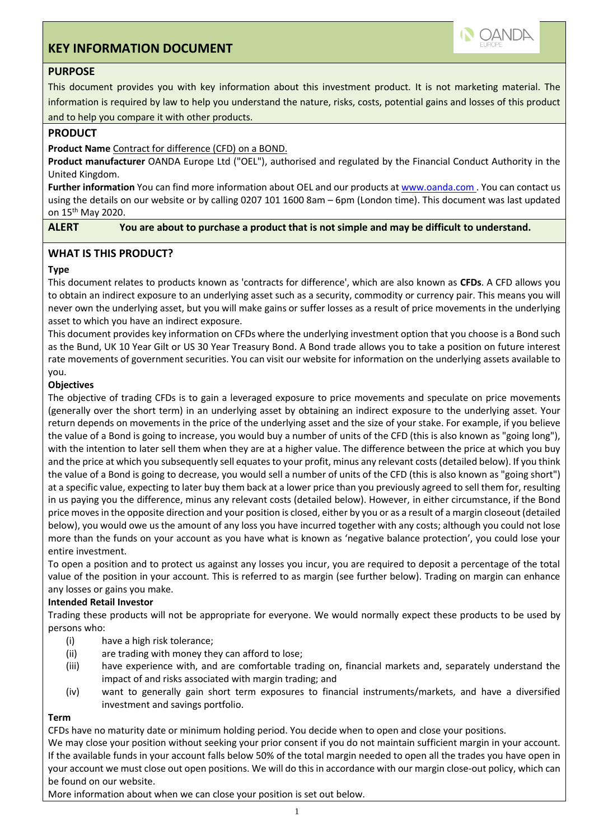# **KEY INFORMATION DOCUMENT**



## **PURPOSE**

This document provides you with key information about this investment product. It is not marketing material. The information is required by law to help you understand the nature, risks, costs, potential gains and losses of this product and to help you compare it with other products.

## **PRODUCT**

## **Product Name** Contract for difference (CFD) on a BOND.

**Product manufacturer** OANDA Europe Ltd ("OEL"), authorised and regulated by the Financial Conduct Authority in the United Kingdom.

**Further information** You can find more information about OEL and our products at www.oanda.com . You can contact us using the details on our website or by calling 0207 101 1600 8am – 6pm (London time). This document was last updated on 15th May 2020.

**ALERT You are about to purchase a product that is not simple and may be difficult to understand.**

## **WHAT IS THIS PRODUCT?**

## **Type**

This document relates to products known as 'contracts for difference', which are also known as **CFDs**. A CFD allows you to obtain an indirect exposure to an underlying asset such as a security, commodity or currency pair. This means you will never own the underlying asset, but you will make gains or suffer losses as a result of price movements in the underlying asset to which you have an indirect exposure.

This document provides key information on CFDs where the underlying investment option that you choose is a Bond such as the Bund, UK 10 Year Gilt or US 30 Year Treasury Bond. A Bond trade allows you to take a position on future interest rate movements of government securities. You can visit our website for information on the underlying assets available to you.

## **Objectives**

The objective of trading CFDs is to gain a leveraged exposure to price movements and speculate on price movements (generally over the short term) in an underlying asset by obtaining an indirect exposure to the underlying asset. Your return depends on movements in the price of the underlying asset and the size of your stake. For example, if you believe the value of a Bond is going to increase, you would buy a number of units of the CFD (this is also known as "going long"), with the intention to later sell them when they are at a higher value. The difference between the price at which you buy and the price at which you subsequently sell equates to your profit, minus any relevant costs (detailed below). If you think the value of a Bond is going to decrease, you would sell a number of units of the CFD (this is also known as "going short") at a specific value, expecting to later buy them back at a lower price than you previously agreed to sell them for, resulting in us paying you the difference, minus any relevant costs (detailed below). However, in either circumstance, if the Bond price moves in the opposite direction and your position is closed, either by you or as a result of a margin closeout (detailed below), you would owe us the amount of any loss you have incurred together with any costs; although you could not lose more than the funds on your account as you have what is known as 'negative balance protection', you could lose your entire investment.

To open a position and to protect us against any losses you incur, you are required to deposit a percentage of the total value of the position in your account. This is referred to as margin (see further below). Trading on margin can enhance any losses or gains you make.

## **Intended Retail Investor**

Trading these products will not be appropriate for everyone. We would normally expect these products to be used by persons who:

- (i) have a high risk tolerance;
- (ii) are trading with money they can afford to lose;
- (iii) have experience with, and are comfortable trading on, financial markets and, separately understand the impact of and risks associated with margin trading; and
- (iv) want to generally gain short term exposures to financial instruments/markets, and have a diversified investment and savings portfolio.

## **Term**

CFDs have no maturity date or minimum holding period. You decide when to open and close your positions.

We may close your position without seeking your prior consent if you do not maintain sufficient margin in your account. If the available funds in your account falls below 50% of the total margin needed to open all the trades you have open in your account we must close out open positions. We will do this in accordance with our margin close-out policy, which can be found on our website.

More information about when we can close your position is set out below.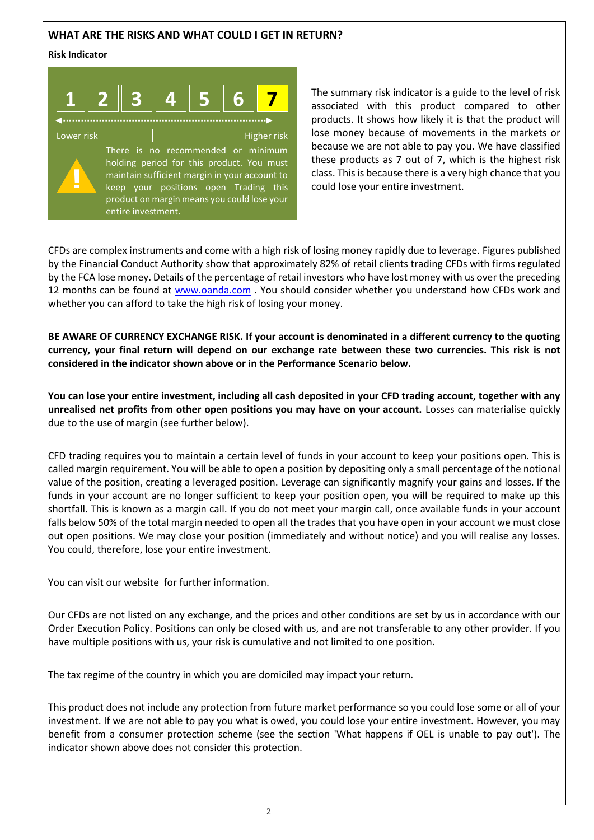## **WHAT ARE THE RISKS AND WHAT COULD I GET IN RETURN?**

#### **Risk Indicator**



The summary risk indicator is a guide to the level of risk associated with this product compared to other products. It shows how likely it is that the product will lose money because of movements in the markets or because we are not able to pay you. We have classified these products as 7 out of 7, which is the highest risk class. This is because there is a very high chance that you could lose your entire investment.

CFDs are complex instruments and come with a high risk of losing money rapidly due to leverage. Figures published by the Financial Conduct Authority show that approximately 82% of retail clients trading CFDs with firms regulated by the FCA lose money. Details of the percentage of retail investors who have lost money with us over the preceding 12 months can be found at [www.oanda.com](http://www.oanda.com/) . You should consider whether you understand how CFDs work and whether you can afford to take the high risk of losing your money.

**BE AWARE OF CURRENCY EXCHANGE RISK. If your account is denominated in a different currency to the quoting currency, your final return will depend on our exchange rate between these two currencies. This risk is not considered in the indicator shown above or in the Performance Scenario below.**

**You can lose your entire investment, including all cash deposited in your CFD trading account, together with any unrealised net profits from other open positions you may have on your account.** Losses can materialise quickly due to the use of margin (see further below).

CFD trading requires you to maintain a certain level of funds in your account to keep your positions open. This is called margin requirement. You will be able to open a position by depositing only a small percentage of the notional value of the position, creating a leveraged position. Leverage can significantly magnify your gains and losses. If the funds in your account are no longer sufficient to keep your position open, you will be required to make up this shortfall. This is known as a margin call. If you do not meet your margin call, once available funds in your account falls below 50% of the total margin needed to open all the trades that you have open in your account we must close out open positions. We may close your position (immediately and without notice) and you will realise any losses. You could, therefore, lose your entire investment.

You can visit our website for further information.

Our CFDs are not listed on any exchange, and the prices and other conditions are set by us in accordance with our Order Execution Policy. Positions can only be closed with us, and are not transferable to any other provider. If you have multiple positions with us, your risk is cumulative and not limited to one position.

The tax regime of the country in which you are domiciled may impact your return.

This product does not include any protection from future market performance so you could lose some or all of your investment. If we are not able to pay you what is owed, you could lose your entire investment. However, you may benefit from a consumer protection scheme (see the section 'What happens if OEL is unable to pay out'). The indicator shown above does not consider this protection.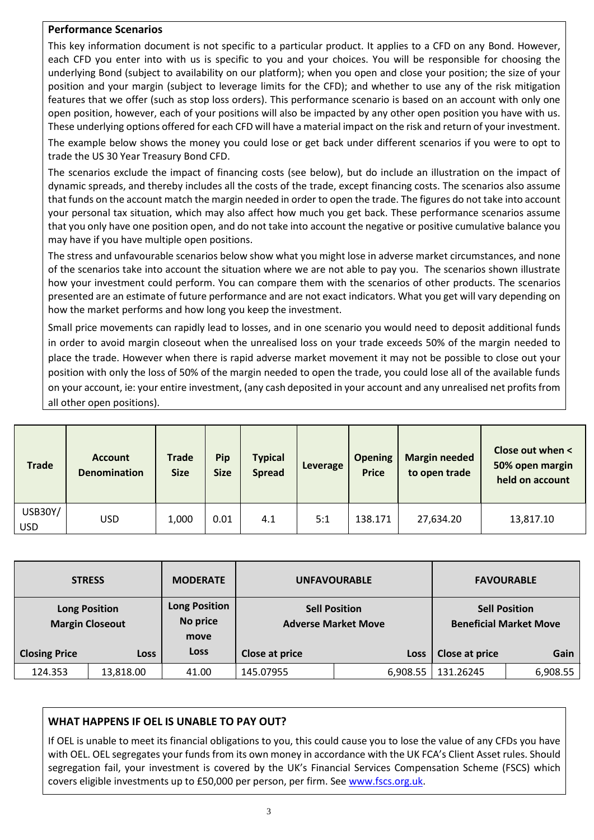## **Performance Scenarios**

This key information document is not specific to a particular product. It applies to a CFD on any Bond. However, each CFD you enter into with us is specific to you and your choices. You will be responsible for choosing the underlying Bond (subject to availability on our platform); when you open and close your position; the size of your position and your margin (subject to leverage limits for the CFD); and whether to use any of the risk mitigation features that we offer (such as stop loss orders). This performance scenario is based on an account with only one open position, however, each of your positions will also be impacted by any other open position you have with us. These underlying options offered for each CFD will have a material impact on the risk and return of your investment.

The example below shows the money you could lose or get back under different scenarios if you were to opt to trade the US 30 Year Treasury Bond CFD.

The scenarios exclude the impact of financing costs (see below), but do include an illustration on the impact of dynamic spreads, and thereby includes all the costs of the trade, except financing costs. The scenarios also assume that funds on the account match the margin needed in order to open the trade. The figures do not take into account your personal tax situation, which may also affect how much you get back. These performance scenarios assume that you only have one position open, and do not take into account the negative or positive cumulative balance you may have if you have multiple open positions.

The stress and unfavourable scenarios below show what you might lose in adverse market circumstances, and none of the scenarios take into account the situation where we are not able to pay you. The scenarios shown illustrate how your investment could perform. You can compare them with the scenarios of other products. The scenarios presented are an estimate of future performance and are not exact indicators. What you get will vary depending on how the market performs and how long you keep the investment.

Small price movements can rapidly lead to losses, and in one scenario you would need to deposit additional funds in order to avoid margin closeout when the unrealised loss on your trade exceeds 50% of the margin needed to place the trade. However when there is rapid adverse market movement it may not be possible to close out your position with only the loss of 50% of the margin needed to open the trade, you could lose all of the available funds on your account, ie: your entire investment, (any cash deposited in your account and any unrealised net profits from all other open positions).

| Trade                        | <b>Account</b><br><b>Denomination</b> | <b>Trade</b><br><b>Size</b> | Pip<br><b>Size</b> | <b>Typical</b><br><b>Spread</b> | Leverage | <b>Opening</b><br><b>Price</b> | <b>Margin needed</b><br>to open trade | Close out when <<br>50% open margin<br>held on account |
|------------------------------|---------------------------------------|-----------------------------|--------------------|---------------------------------|----------|--------------------------------|---------------------------------------|--------------------------------------------------------|
| <b>USB30Y/</b><br><b>USD</b> | <b>USD</b>                            | 1,000                       | 0.01               | 4.1                             | 5:1      | 138.171                        | 27,634.20                             | 13,817.10                                              |

| <b>STRESS</b>        |                                                | <b>MODERATE</b><br><b>UNFAVOURABLE</b>   |                |                                                    | <b>FAVOURABLE</b>                                     |          |
|----------------------|------------------------------------------------|------------------------------------------|----------------|----------------------------------------------------|-------------------------------------------------------|----------|
|                      | <b>Long Position</b><br><b>Margin Closeout</b> | <b>Long Position</b><br>No price<br>move |                | <b>Sell Position</b><br><b>Adverse Market Move</b> | <b>Sell Position</b><br><b>Beneficial Market Move</b> |          |
| <b>Closing Price</b> | <b>Loss</b>                                    | <b>Loss</b>                              | Close at price | Loss                                               | Close at price                                        | Gain     |
| 124.353              | 13,818.00                                      | 41.00                                    | 145.07955      | 6,908.55                                           | 131.26245                                             | 6,908.55 |

## **WHAT HAPPENS IF OEL IS UNABLE TO PAY OUT?**

If OEL is unable to meet its financial obligations to you, this could cause you to lose the value of any CFDs you have with OEL. OEL segregates your funds from its own money in accordance with the UK FCA's Client Asset rules. Should segregation fail, your investment is covered by the UK's Financial Services Compensation Scheme (FSCS) which covers eligible investments up to £50,000 per person, per firm. See [www.fscs.org.uk.](http://www.fscs.org.uk/)